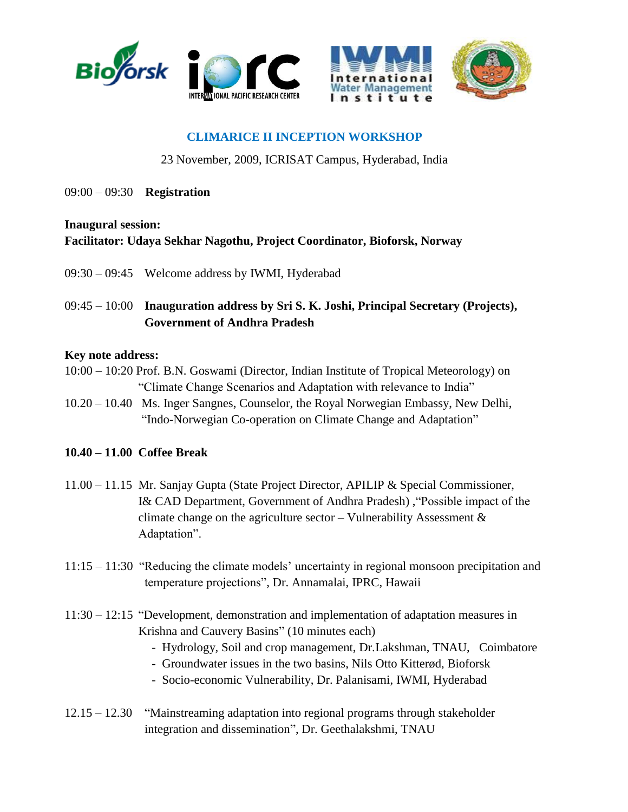



# **CLIMARICE II INCEPTION WORKSHOP**

#### 23 November, 2009, ICRISAT Campus, Hyderabad, India

09:00 – 09:30 **Registration**

#### **Inaugural session:**

## **Facilitator: Udaya Sekhar Nagothu, Project Coordinator, Bioforsk, Norway**

- 09:30 09:45 Welcome address by IWMI, Hyderabad
- 09:45 10:00 **Inauguration address by Sri S. K. Joshi, Principal Secretary (Projects), Government of Andhra Pradesh**

#### **Key note address:**

- 10:00 10:20 Prof. B.N. Goswami (Director, Indian Institute of Tropical Meteorology) on "Climate Change Scenarios and Adaptation with relevance to India"
- 10.20 10.40 Ms. Inger Sangnes, Counselor, the Royal Norwegian Embassy, New Delhi, "Indo-Norwegian Co-operation on Climate Change and Adaptation"

## **10.40 – 11.00 Coffee Break**

- 11.00 11.15 Mr. Sanjay Gupta (State Project Director, APILIP & Special Commissioner, I& CAD Department, Government of Andhra Pradesh) ,"Possible impact of the climate change on the agriculture sector – Vulnerability Assessment  $\&$ Adaptation".
- 11:15 11:30 "Reducing the climate models' uncertainty in regional monsoon precipitation and temperature projections", Dr. Annamalai, IPRC, Hawaii
- 11:30 12:15 "Development, demonstration and implementation of adaptation measures in Krishna and Cauvery Basins" (10 minutes each)
	- Hydrology, Soil and crop management, Dr.Lakshman, TNAU, Coimbatore
	- Groundwater issues in the two basins, Nils Otto Kitterød, Bioforsk
	- Socio-economic Vulnerability, Dr. Palanisami, IWMI, Hyderabad
- 12.15 12.30 "Mainstreaming adaptation into regional programs through stakeholder integration and dissemination", Dr. Geethalakshmi, TNAU